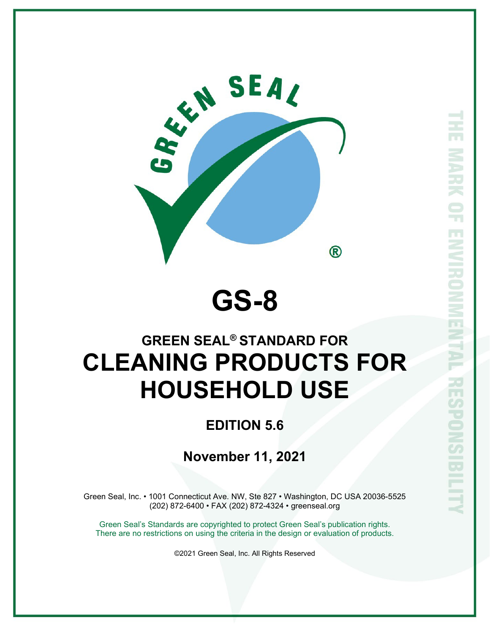

# **GS-8**

# **GREEN SEAL® STANDARD FOR CLEANING PRODUCTS FOR HOUSEHOLD USE**

## **EDITION 5.6**

### **November 11, 2021**

Green Seal, Inc. • 1001 Connecticut Ave. NW, Ste 827 • Washington, DC USA 20036-5525 (202) 872-6400 • FAX (202) 872-4324 • greenseal.org

Green Seal's Standards are copyrighted to protect Green Seal's publication rights. There are no restrictions on using the criteria in the design or evaluation of products.

©2021 Green Seal, Inc. All Rights Reserved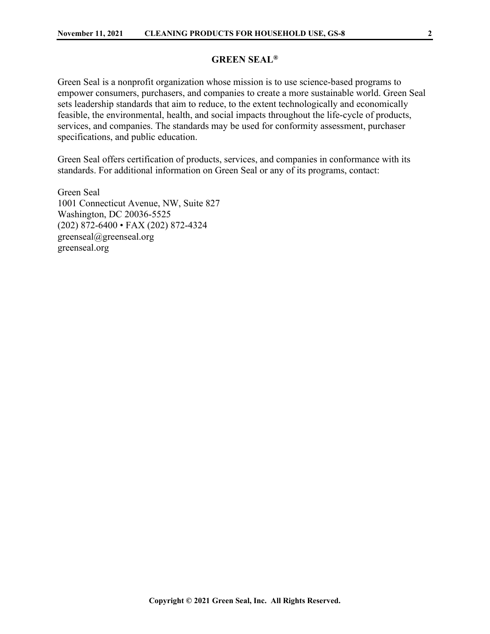#### **GREEN SEAL®**

Green Seal is a nonprofit organization whose mission is to use science-based programs to empower consumers, purchasers, and companies to create a more sustainable world. Green Seal sets leadership standards that aim to reduce, to the extent technologically and economically feasible, the environmental, health, and social impacts throughout the life-cycle of products, services, and companies. The standards may be used for conformity assessment, purchaser specifications, and public education.

Green Seal offers certification of products, services, and companies in conformance with its standards. For additional information on Green Seal or any of its programs, contact:

Green Seal 1001 Connecticut Avenue, NW, Suite 827 Washington, DC 20036-5525 (202) 872-6400 • FAX (202) 872-4324 greenseal@greenseal.org greenseal.org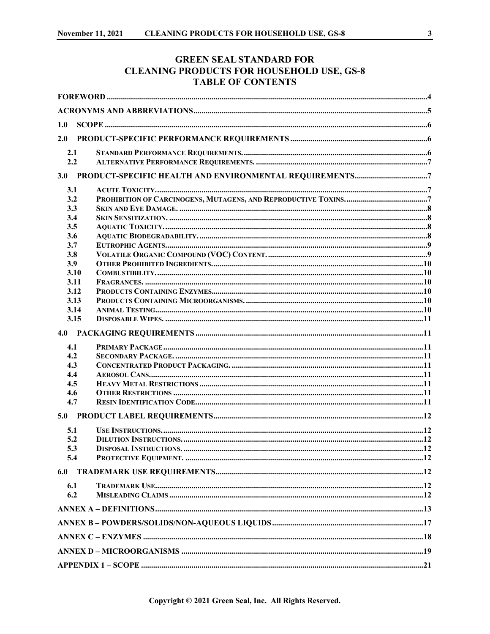### **GREEN SEAL STANDARD FOR CLEANING PRODUCTS FOR HOUSEHOLD USE, GS-8 TABLE OF CONTENTS**

| 1.0 |      |  |  |  |
|-----|------|--|--|--|
| 2.0 |      |  |  |  |
| 2.1 |      |  |  |  |
| 2.2 |      |  |  |  |
|     |      |  |  |  |
| 3.1 |      |  |  |  |
| 3.2 |      |  |  |  |
| 3.3 |      |  |  |  |
| 3.4 |      |  |  |  |
| 3.5 |      |  |  |  |
| 3.6 |      |  |  |  |
| 3.7 |      |  |  |  |
| 3.8 |      |  |  |  |
| 3.9 |      |  |  |  |
|     | 3.10 |  |  |  |
|     | 3.11 |  |  |  |
|     | 3.12 |  |  |  |
|     | 3.13 |  |  |  |
|     | 3.14 |  |  |  |
|     | 3.15 |  |  |  |
| 4.0 |      |  |  |  |
| 4.1 |      |  |  |  |
| 4.2 |      |  |  |  |
| 4.3 |      |  |  |  |
| 4.4 |      |  |  |  |
| 4.5 |      |  |  |  |
| 4.6 |      |  |  |  |
| 4.7 |      |  |  |  |
| 5.0 |      |  |  |  |
| 5.1 |      |  |  |  |
| 5.2 |      |  |  |  |
| 5.3 |      |  |  |  |
| 5.4 |      |  |  |  |
| 6.0 |      |  |  |  |
| 6.1 |      |  |  |  |
| 6.2 |      |  |  |  |
|     |      |  |  |  |
|     |      |  |  |  |
|     |      |  |  |  |
|     |      |  |  |  |
|     |      |  |  |  |
|     |      |  |  |  |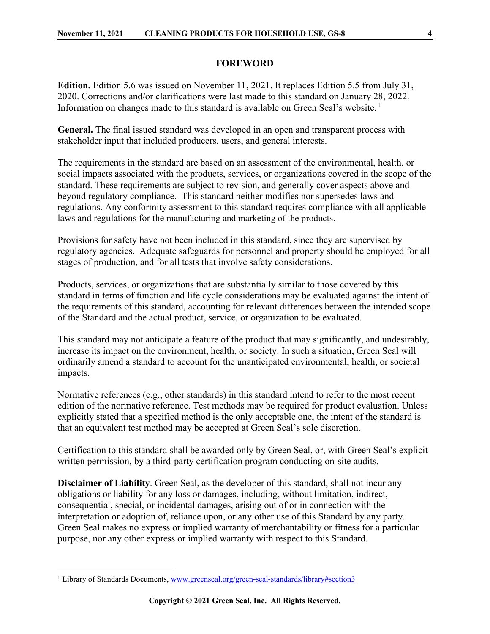#### **FOREWORD**

<span id="page-3-0"></span>**Edition.** Edition 5.6 was issued on November 11, 2021. It replaces Edition 5.5 from July 31, 2020. Corrections and/or clarifications were last made to this standard on January 28, 2022. Information on changes made to this standard is available on Green Seal's website.<sup>[1](#page-3-1)</sup>

**General.** The final issued standard was developed in an open and transparent process with stakeholder input that included producers, users, and general interests.

The requirements in the standard are based on an assessment of the environmental, health, or social impacts associated with the products, services, or organizations covered in the scope of the standard. These requirements are subject to revision, and generally cover aspects above and beyond regulatory compliance. This standard neither modifies nor supersedes laws and regulations. Any conformity assessment to this standard requires compliance with all applicable laws and regulations for the manufacturing and marketing of the products.

Provisions for safety have not been included in this standard, since they are supervised by regulatory agencies. Adequate safeguards for personnel and property should be employed for all stages of production, and for all tests that involve safety considerations.

Products, services, or organizations that are substantially similar to those covered by this standard in terms of function and life cycle considerations may be evaluated against the intent of the requirements of this standard, accounting for relevant differences between the intended scope of the Standard and the actual product, service, or organization to be evaluated.

This standard may not anticipate a feature of the product that may significantly, and undesirably, increase its impact on the environment, health, or society. In such a situation, Green Seal will ordinarily amend a standard to account for the unanticipated environmental, health, or societal impacts.

Normative references (e.g., other standards) in this standard intend to refer to the most recent edition of the normative reference. Test methods may be required for product evaluation. Unless explicitly stated that a specified method is the only acceptable one, the intent of the standard is that an equivalent test method may be accepted at Green Seal's sole discretion.

Certification to this standard shall be awarded only by Green Seal, or, with Green Seal's explicit written permission, by a third-party certification program conducting on-site audits.

**Disclaimer of Liability**. Green Seal, as the developer of this standard, shall not incur any obligations or liability for any loss or damages, including, without limitation, indirect, consequential, special, or incidental damages, arising out of or in connection with the interpretation or adoption of, reliance upon, or any other use of this Standard by any party. Green Seal makes no express or implied warranty of merchantability or fitness for a particular purpose, nor any other express or implied warranty with respect to this Standard.

<span id="page-3-1"></span><sup>&</sup>lt;sup>1</sup> Library of Standards Documents[, www.greenseal.org/green-seal-standards/library#section3](http://www.greenseal.org/green-seal-standards/library#section3)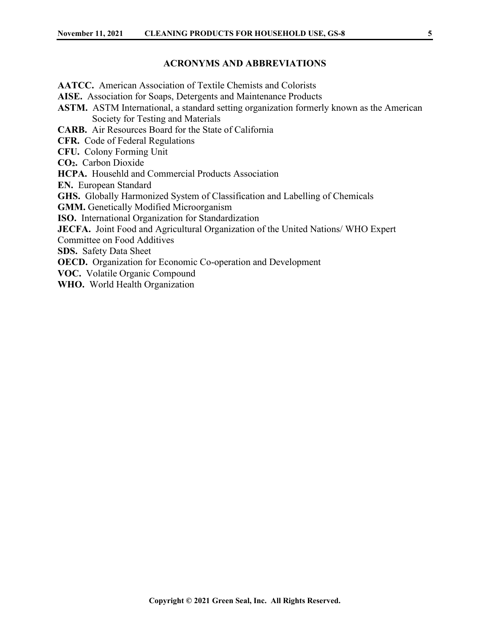#### **ACRONYMS AND ABBREVIATIONS**

<span id="page-4-0"></span>**AATCC.** American Association of Textile Chemists and Colorists **AISE.** Association for Soaps, Detergents and Maintenance Products **ASTM.** ASTM International, a standard setting organization formerly known as the American Society for Testing and Materials **CARB.** Air Resources Board for the State of California **CFR.** Code of Federal Regulations **CFU.** Colony Forming Unit **CO2.** Carbon Dioxide **HCPA.** Househld and Commercial Products Association **EN.** European Standard **GHS.** Globally Harmonized System of Classification and Labelling of Chemicals **GMM.** Genetically Modified Microorganism **ISO.** International Organization for Standardization **JECFA.** Joint Food and Agricultural Organization of the United Nations/ WHO Expert Committee on Food Additives **SDS.** Safety Data Sheet **OECD.** Organization for Economic Co-operation and Development **VOC.** Volatile Organic Compound **WHO.** World Health Organization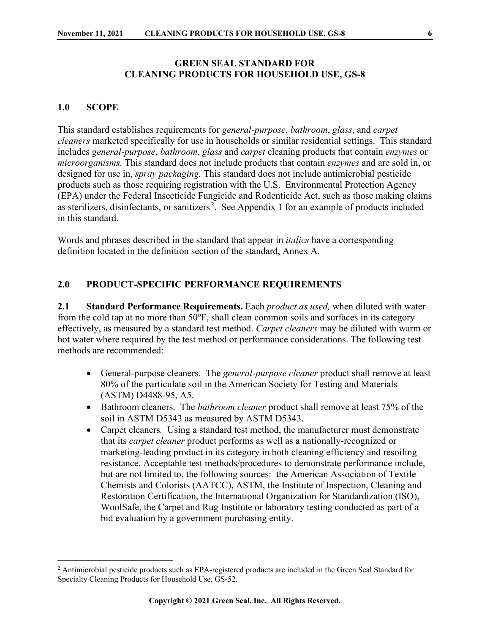#### **GREEN SEAL STANDARD FOR CLEANING PRODUCTS FOR HOUSEHOLD USE, GS-8**

#### <span id="page-5-0"></span>**1.0 SCOPE**

This standard establishes requirements for *general-purpose*, *bathroom*, *glass*, and *carpet cleaners* marketed specifically for use in households or similar residential settings. This standard includes *general-purpose*, *bathroom*, *glass* and *carpet* cleaning products that contain *enzymes* or *microorganisms.* This standard does not include products that contain *enzymes* and are sold in, or designed for use in, *spray packaging.* This standard does not include antimicrobial pesticide products such as those requiring registration with the U.S. Environmental Protection Agency (EPA) under the Federal Insecticide Fungicide and Rodenticide Act, such as those making claims as sterilizers, disinfectants, or sanitizers<sup>[2](#page-5-3)</sup>. See Appendix 1 for an example of products included in this standard.

Words and phrases described in the standard that appear in *italics* have a corresponding definition located in the definition section of the standard, Annex A.

#### <span id="page-5-1"></span>**2.0 PRODUCT-SPECIFIC PERFORMANCE REQUIREMENTS**

<span id="page-5-2"></span>**2.1 Standard Performance Requirements.** Each *product as used,* when diluted with water from the cold tap at no more than 50°F, shall clean common soils and surfaces in its category effectively, as measured by a standard test method. *Carpet cleaners* may be diluted with warm or hot water where required by the test method or performance considerations. The following test methods are recommended:

- General-purpose cleaners.The *general-purpose cleaner* product shall remove at least 80% of the particulate soil in the American Society for Testing and Materials (ASTM) D4488-95, A5.
- Bathroom cleaners.The *bathroom cleaner* product shall remove at least 75% of the soil in ASTM D5343 as measured by ASTM D5343.
- Carpet cleaners*.* Using a standard test method, the manufacturer must demonstrate that its *carpet cleaner* product performs as well as a nationally-recognized or marketing-leading product in its category in both cleaning efficiency and resoiling resistance. Acceptable test methods/procedures to demonstrate performance include, but are not limited to, the following sources: the American Association of Textile Chemists and Colorists (AATCC), ASTM, the Institute of Inspection, Cleaning and Restoration Certification, the International Organization for Standardization (ISO), WoolSafe, the Carpet and Rug Institute or laboratory testing conducted as part of a bid evaluation by a government purchasing entity.

<span id="page-5-3"></span><sup>&</sup>lt;sup>2</sup> Antimicrobial pesticide products such as EPA-registered products are included in the Green Seal Standard for Specialty Cleaning Products for Household Use, GS-52.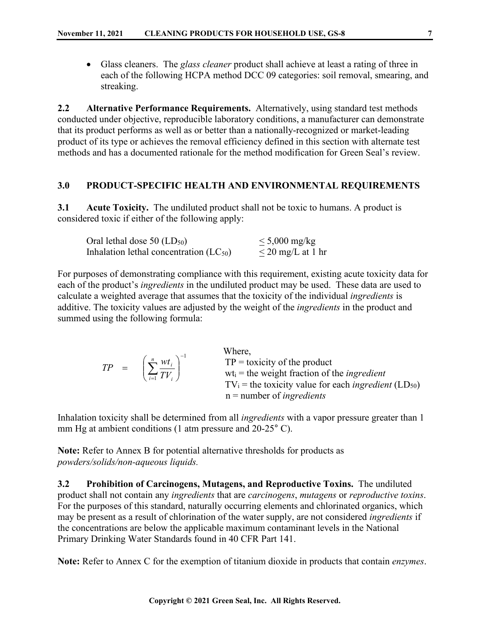• Glass cleaners.The *glass cleaner* product shall achieve at least a rating of three in each of the following HCPA method DCC 09 categories: soil removal, smearing, and streaking.

<span id="page-6-0"></span>**2.2 Alternative Performance Requirements.** Alternatively, using standard test methods conducted under objective, reproducible laboratory conditions, a manufacturer can demonstrate that its product performs as well as or better than a nationally-recognized or market-leading product of its type or achieves the removal efficiency defined in this section with alternate test methods and has a documented rationale for the method modification for Green Seal's review.

#### <span id="page-6-1"></span>**3.0 PRODUCT-SPECIFIC HEALTH AND ENVIRONMENTAL REQUIREMENTS**

<span id="page-6-2"></span>**3.1 Acute Toxicity.** The undiluted product shall not be toxic to humans. A product is considered toxic if either of the following apply:

| Oral lethal dose $50$ (LD <sub>50</sub> )   | $\leq 5,000$ mg/kg     |
|---------------------------------------------|------------------------|
| Inhalation lethal concentration $(LC_{50})$ | $\leq$ 20 mg/L at 1 hr |

For purposes of demonstrating compliance with this requirement, existing acute toxicity data for each of the product's *ingredients* in the undiluted product may be used. These data are used to calculate a weighted average that assumes that the toxicity of the individual *ingredients* is additive. The toxicity values are adjusted by the weight of the *ingredients* in the product and summed using the following formula:

|  | $TP = \left(\sum_{i=1}^{n} \frac{wt_i}{TV_i}\right)^{-1}$ | Where,<br>$TP =$ toxicity of the product<br>$wt_i$ = the weight fraction of the <i>ingredient</i><br>$TV_i$ = the toxicity value for each <i>ingredient</i> (LD <sub>50</sub> )<br>$n =$ number of <i>ingredients</i> |
|--|-----------------------------------------------------------|-----------------------------------------------------------------------------------------------------------------------------------------------------------------------------------------------------------------------|
|--|-----------------------------------------------------------|-----------------------------------------------------------------------------------------------------------------------------------------------------------------------------------------------------------------------|

Inhalation toxicity shall be determined from all *ingredients* with a vapor pressure greater than 1 mm Hg at ambient conditions (1 atm pressure and 20-25° C).

**Note:** Refer to Annex B for potential alternative thresholds for products as *powders/solids/non-aqueous liquids.*

<span id="page-6-3"></span>**3.2 Prohibition of Carcinogens, Mutagens, and Reproductive Toxins.** The undiluted product shall not contain any *ingredients* that are *carcinogens*, *mutagens* or *reproductive toxins*. For the purposes of this standard, naturally occurring elements and chlorinated organics, which may be present as a result of chlorination of the water supply, are not considered *ingredients* if the concentrations are below the applicable maximum contaminant levels in the National Primary Drinking Water Standards found in 40 CFR Part 141.

**Note:** Refer to Annex C for the exemption of titanium dioxide in products that contain *enzymes*.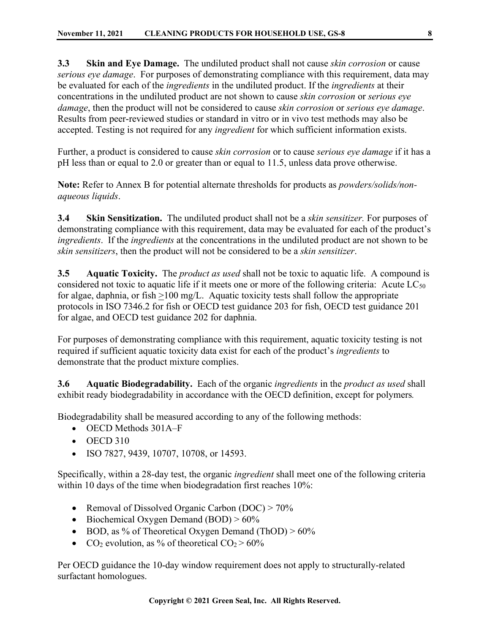<span id="page-7-0"></span>**3.3 Skin and Eye Damage.** The undiluted product shall not cause *skin corrosion* or cause *serious eye damage*. For purposes of demonstrating compliance with this requirement, data may be evaluated for each of the *ingredients* in the undiluted product. If the *ingredients* at their concentrations in the undiluted product are not shown to cause *skin corrosion* or *serious eye damage*, then the product will not be considered to cause *skin corrosion* or *serious eye damage*. Results from peer-reviewed studies or standard in vitro or in vivo test methods may also be accepted. Testing is not required for any *ingredient* for which sufficient information exists.

Further, a product is considered to cause *skin corrosion* or to cause *serious eye damage* if it has a pH less than or equal to 2.0 or greater than or equal to 11.5, unless data prove otherwise.

**Note:** Refer to Annex B for potential alternate thresholds for products as *powders/solids/nonaqueous liquids*.

<span id="page-7-1"></span>**3.4 Skin Sensitization.** The undiluted product shall not be a *skin sensitizer.* For purposes of demonstrating compliance with this requirement, data may be evaluated for each of the product's *ingredients*. If the *ingredients* at the concentrations in the undiluted product are not shown to be *skin sensitizers*, then the product will not be considered to be a *skin sensitizer*.

<span id="page-7-2"></span>**3.5 Aquatic Toxicity.** The *product as used* shall not be toxic to aquatic life. A compound is considered not toxic to aquatic life if it meets one or more of the following criteria: Acute  $LC_{50}$ for algae, daphnia, or fish >100 mg/L. Aquatic toxicity tests shall follow the appropriate protocols in ISO 7346.2 for fish or OECD test guidance 203 for fish, OECD test guidance 201 for algae, and OECD test guidance 202 for daphnia.

For purposes of demonstrating compliance with this requirement, aquatic toxicity testing is not required if sufficient aquatic toxicity data exist for each of the product's *ingredients* to demonstrate that the product mixture complies.

<span id="page-7-3"></span>**3.6 Aquatic Biodegradability.** Each of the organic *ingredients* in the *product as used* shall exhibit ready biodegradability in accordance with the OECD definition, except for polymers*.*

Biodegradability shall be measured according to any of the following methods:

- OECD Methods 301A–F
- OECD 310
- ISO 7827, 9439, 10707, 10708, or 14593.

Specifically, within a 28-day test, the organic *ingredient* shall meet one of the following criteria within 10 days of the time when biodegradation first reaches 10%:

- Removal of Dissolved Organic Carbon (DOC) > 70%
- Biochemical Oxygen Demand (BOD) >  $60\%$
- BOD, as % of Theoretical Oxygen Demand (ThOD) >  $60\%$
- CO<sub>2</sub> evolution, as % of theoretical  $CO<sub>2</sub> > 60%$

Per OECD guidance the 10-day window requirement does not apply to structurally-related surfactant homologues.

**Copyright © 2021 Green Seal, Inc. All Rights Reserved.**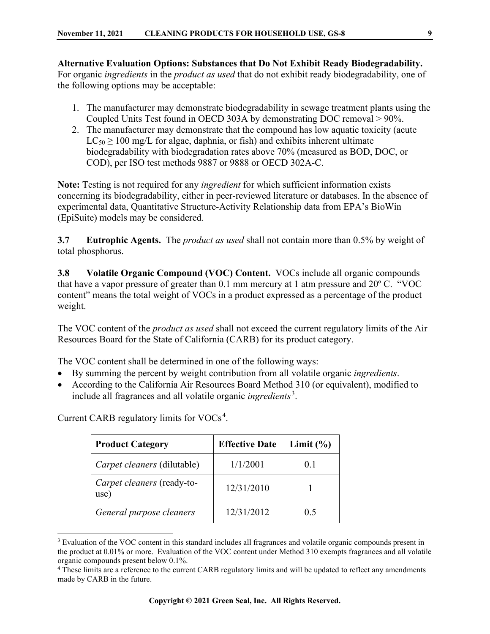**Alternative Evaluation Options: Substances that Do Not Exhibit Ready Biodegradability.** For organic *ingredients* in the *product as used* that do not exhibit ready biodegradability, one of the following options may be acceptable:

- 1. The manufacturer may demonstrate biodegradability in sewage treatment plants using the Coupled Units Test found in OECD 303A by demonstrating DOC removal > 90%.
- 2. The manufacturer may demonstrate that the compound has low aquatic toxicity (acute  $LC_{50} \ge 100$  mg/L for algae, daphnia, or fish) and exhibits inherent ultimate biodegradability with biodegradation rates above 70% (measured as BOD, DOC, or COD), per ISO test methods 9887 or 9888 or OECD 302A-C.

**Note:** Testing is not required for any *ingredient* for which sufficient information exists concerning its biodegradability, either in peer-reviewed literature or databases. In the absence of experimental data, Quantitative Structure-Activity Relationship data from EPA's BioWin (EpiSuite) models may be considered.

<span id="page-8-0"></span>**3.7 Eutrophic Agents.** The *product as used* shall not contain more than 0.5% by weight of total phosphorus.

<span id="page-8-1"></span>**3.8 Volatile Organic Compound (VOC) Content.** VOCs include all organic compounds that have a vapor pressure of greater than 0.1 mm mercury at 1 atm pressure and 20º C. "VOC content" means the total weight of VOCs in a product expressed as a percentage of the product weight.

The VOC content of the *product as used* shall not exceed the current regulatory limits of the Air Resources Board for the State of California (CARB) for its product category.

The VOC content shall be determined in one of the following ways:

- By summing the percent by weight contribution from all volatile organic *ingredients*.
- According to the California Air Resources Board Method 310 (or equivalent), modified to include all fragrances and all volatile organic *ingredients* [3](#page-8-2) .

| <b>Product Category</b>            | <b>Effective Date</b> | Limit $(\% )$ |
|------------------------------------|-----------------------|---------------|
| Carpet cleaners (dilutable)        | 1/1/2001              | 0.1           |
| Carpet cleaners (ready-to-<br>use) | 12/31/2010            |               |
| General purpose cleaners           | 12/31/2012            | 0.5           |

Current CARB regulatory limits for  $\text{VOCs}^4$  $\text{VOCs}^4$ .

<span id="page-8-2"></span><sup>&</sup>lt;sup>3</sup> Evaluation of the VOC content in this standard includes all fragrances and volatile organic compounds present in the product at 0.01% or more. Evaluation of the VOC content under Method 310 exempts fragrances and all volatile organic compounds present below 0.1%.

<span id="page-8-3"></span><sup>4</sup> These limits are a reference to the current CARB regulatory limits and will be updated to reflect any amendments made by CARB in the future.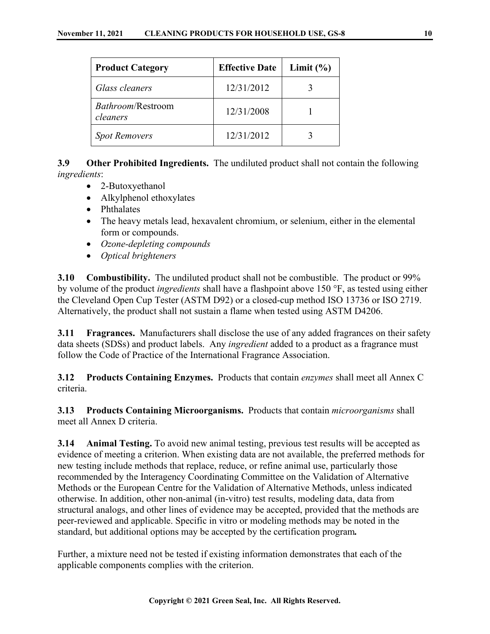| <b>Product Category</b>       | <b>Effective Date</b> | Limit $(\% )$ |
|-------------------------------|-----------------------|---------------|
| Glass cleaners                | 12/31/2012            |               |
| Bathroom/Restroom<br>cleaners | 12/31/2008            |               |
| <b>Spot Removers</b>          | 12/31/2012            |               |

<span id="page-9-0"></span>**3.9 Other Prohibited Ingredients.** The undiluted product shall not contain the following *ingredients*:

- 2-Butoxyethanol
- Alkylphenol ethoxylates
- Phthalates
- The heavy metals lead, hexavalent chromium, or selenium, either in the elemental form or compounds.
- *Ozone-depleting compounds*
- *Optical brighteners*

<span id="page-9-1"></span>**3.10 Combustibility.** The undiluted product shall not be combustible. The product or 99% by volume of the product *ingredients* shall have a flashpoint above 150 °F, as tested using either the Cleveland Open Cup Tester (ASTM D92) or a closed-cup method ISO 13736 or ISO 2719. Alternatively, the product shall not sustain a flame when tested using ASTM D4206.

<span id="page-9-2"></span>**3.11 Fragrances.** Manufacturers shall disclose the use of any added fragrances on their safety data sheets (SDSs) and product labels. Any *ingredient* added to a product as a fragrance must follow the Code of Practice of the International Fragrance Association.

<span id="page-9-3"></span>**3.12 Products Containing Enzymes.** Products that contain *enzymes* shall meet all Annex C criteria.

<span id="page-9-4"></span>**3.13 Products Containing Microorganisms.** Products that contain *microorganisms* shall meet all Annex D criteria.

<span id="page-9-5"></span>**3.14 Animal Testing.** To avoid new animal testing, previous test results will be accepted as evidence of meeting a criterion. When existing data are not available, the preferred methods for new testing include methods that replace, reduce, or refine animal use, particularly those recommended by the Interagency Coordinating Committee on the Validation of Alternative Methods or the European Centre for the Validation of Alternative Methods, unless indicated otherwise. In addition, other non-animal (in-vitro) test results, modeling data, data from structural analogs, and other lines of evidence may be accepted, provided that the methods are peer-reviewed and applicable. Specific in vitro or modeling methods may be noted in the standard, but additional options may be accepted by the certification program*.* 

Further, a mixture need not be tested if existing information demonstrates that each of the applicable components complies with the criterion.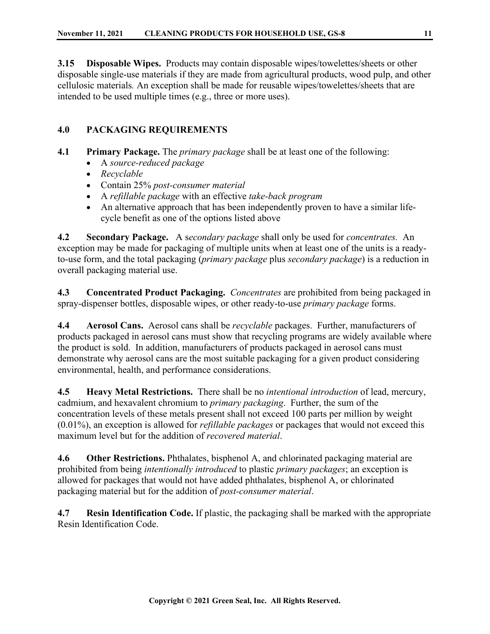<span id="page-10-0"></span>**3.15 Disposable Wipes.** Products may contain disposable wipes/towelettes/sheets or other disposable single-use materials if they are made from agricultural products, wood pulp, and other cellulosic materials*.* An exception shall be made for reusable wipes/towelettes/sheets that are intended to be used multiple times (e.g., three or more uses).

### <span id="page-10-1"></span>**4.0 PACKAGING REQUIREMENTS**

- <span id="page-10-2"></span>**4.1 Primary Package.** The *primary package* shall be at least one of the following:
	- A *source-reduced package*
	- *Recyclable*
	- Contain 25% *post-consumer material*
	- A *refillable package* with an effective *take-back program*
	- An alternative approach that has been independently proven to have a similar lifecycle benefit as one of the options listed above

<span id="page-10-3"></span>**4.2 Secondary Package.** A s*econdary package* shall only be used for *concentrates.* An exception may be made for packaging of multiple units when at least one of the units is a readyto-use form, and the total packaging (*primary package* plus *secondary package*) is a reduction in overall packaging material use.

<span id="page-10-4"></span>**4.3 Concentrated Product Packaging.** *Concentrates* are prohibited from being packaged in spray-dispenser bottles, disposable wipes, or other ready-to-use *primary package* forms.

<span id="page-10-5"></span>**4.4 Aerosol Cans.** Aerosol cans shall be *recyclable* packages. Further, manufacturers of products packaged in aerosol cans must show that recycling programs are widely available where the product is sold. In addition, manufacturers of products packaged in aerosol cans must demonstrate why aerosol cans are the most suitable packaging for a given product considering environmental, health, and performance considerations.

<span id="page-10-6"></span>**4.5 Heavy Metal Restrictions.** There shall be no *intentional introduction* of lead, mercury, cadmium, and hexavalent chromium to *primary packaging*. Further, the sum of the concentration levels of these metals present shall not exceed 100 parts per million by weight (0.01%), an exception is allowed for *refillable packages* or packages that would not exceed this maximum level but for the addition of *recovered material*.

<span id="page-10-7"></span>**4.6 Other Restrictions.** Phthalates, bisphenol A, and chlorinated packaging material are prohibited from being *intentionally introduced* to plastic *primary packages*; an exception is allowed for packages that would not have added phthalates, bisphenol A, or chlorinated packaging material but for the addition of *post-consumer material*.

<span id="page-10-8"></span>**4.7 Resin Identification Code.** If plastic, the packaging shall be marked with the appropriate Resin Identification Code.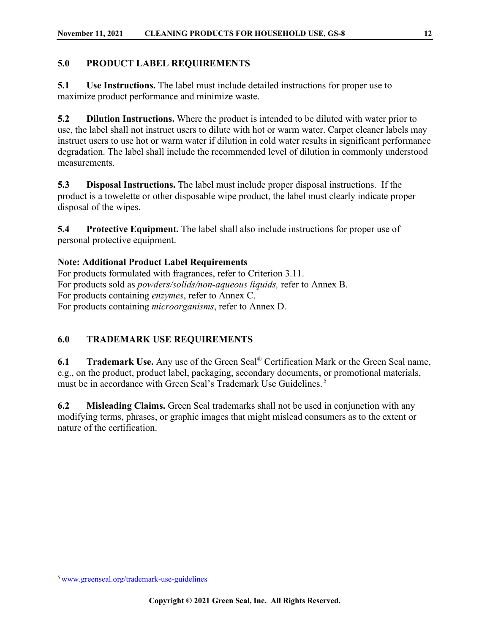#### <span id="page-11-0"></span>**5.0 PRODUCT LABEL REQUIREMENTS**

<span id="page-11-1"></span>**5.1 Use Instructions.** The label must include detailed instructions for proper use to maximize product performance and minimize waste.

<span id="page-11-2"></span>**5.2 Dilution Instructions.** Where the product is intended to be diluted with water prior to use, the label shall not instruct users to dilute with hot or warm water. Carpet cleaner labels may instruct users to use hot or warm water if dilution in cold water results in significant performance degradation. The label shall include the recommended level of dilution in commonly understood measurements.

<span id="page-11-3"></span>**5.3 Disposal Instructions.** The label must include proper disposal instructions. If the product is a towelette or other disposable wipe product, the label must clearly indicate proper disposal of the wipes.

<span id="page-11-4"></span>**5.4 Protective Equipment.** The label shall also include instructions for proper use of personal protective equipment.

**Note: Additional Product Label Requirements**

For products formulated with fragrances, refer to Criterion 3.11. For products sold as *powders/solids/non-aqueous liquids,* refer to Annex B. For products containing *enzymes*, refer to Annex C. For products containing *microorganisms*, refer to Annex D.

### <span id="page-11-5"></span>**6.0 TRADEMARK USE REQUIREMENTS**

<span id="page-11-6"></span>**6.1 Trademark Use.** Any use of the Green Seal® Certification Mark or the Green Seal name, e.g., on the product, product label, packaging, secondary documents, or promotional materials, must be in accordance with Green Seal's Trademark Use Guidelines.<sup>[5](#page-11-8)</sup>

<span id="page-11-7"></span>**6.2 Misleading Claims.** Green Seal trademarks shall not be used in conjunction with any modifying terms, phrases, or graphic images that might mislead consumers as to the extent or nature of the certification.

<span id="page-11-8"></span><sup>5</sup> [www.greenseal.org/trademark-use-guidelines](http://www.greenseal.org/trademark-use-guidelines)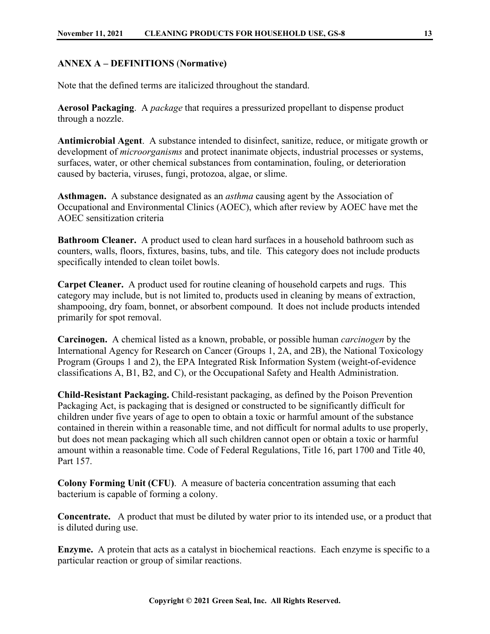#### <span id="page-12-0"></span>**ANNEX A – DEFINITIONS** (**Normative)**

Note that the defined terms are italicized throughout the standard.

**Aerosol Packaging**. A *package* that requires a pressurized propellant to dispense product through a nozzle.

**Antimicrobial Agent**. A substance intended to disinfect, sanitize, reduce, or mitigate growth or development of *microorganisms* and protect inanimate objects, industrial processes or systems, surfaces, water, or other chemical substances from contamination, fouling, or deterioration caused by bacteria, viruses, fungi, protozoa, algae, or slime.

**Asthmagen.** A substance designated as an *asthma* causing agent by the Association of Occupational and Environmental Clinics (AOEC), which after review by AOEC have met the AOEC sensitization criteria

**Bathroom Cleaner.** A product used to clean hard surfaces in a household bathroom such as counters, walls, floors, fixtures, basins, tubs, and tile. This category does not include products specifically intended to clean toilet bowls.

**Carpet Cleaner.** A product used for routine cleaning of household carpets and rugs. This category may include, but is not limited to, products used in cleaning by means of extraction, shampooing, dry foam, bonnet, or absorbent compound. It does not include products intended primarily for spot removal.

**Carcinogen.** A chemical listed as a known, probable, or possible human *carcinogen* by the International Agency for Research on Cancer (Groups 1, 2A, and 2B), the National Toxicology Program (Groups 1 and 2), the EPA Integrated Risk Information System (weight-of-evidence classifications A, B1, B2, and C), or the Occupational Safety and Health Administration.

**Child-Resistant Packaging.** Child-resistant packaging, as defined by the Poison Prevention Packaging Act, is packaging that is designed or constructed to be significantly difficult for children under five years of age to open to obtain a toxic or harmful amount of the substance contained in therein within a reasonable time, and not difficult for normal adults to use properly, but does not mean packaging which all such children cannot open or obtain a toxic or harmful amount within a reasonable time. Code of Federal Regulations, Title 16, part 1700 and Title 40, Part 157.

**Colony Forming Unit (CFU)**. A measure of bacteria concentration assuming that each bacterium is capable of forming a colony.

**Concentrate.** A product that must be diluted by water prior to its intended use, or a product that is diluted during use.

**Enzyme.** A protein that acts as a catalyst in biochemical reactions. Each enzyme is specific to a particular reaction or group of similar reactions.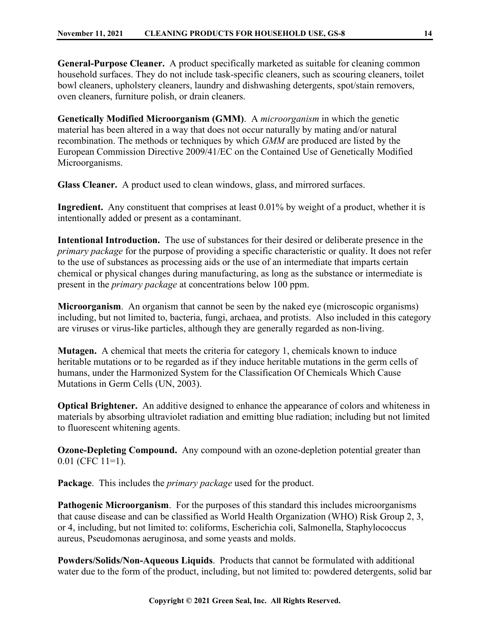**General-Purpose Cleaner.** A product specifically marketed as suitable for cleaning common household surfaces. They do not include task-specific cleaners, such as scouring cleaners, toilet bowl cleaners, upholstery cleaners, laundry and dishwashing detergents, spot/stain removers, oven cleaners, furniture polish, or drain cleaners.

**Genetically Modified Microorganism (GMM)**. A *microorganism* in which the genetic material has been altered in a way that does not occur naturally by mating and/or natural recombination. The methods or techniques by which *GMM* are produced are listed by the European Commission Directive 2009/41/EC on the Contained Use of Genetically Modified Microorganisms.

**Glass Cleaner.** A product used to clean windows, glass, and mirrored surfaces.

**Ingredient.** Any constituent that comprises at least 0.01% by weight of a product, whether it is intentionally added or present as a contaminant.

**Intentional Introduction.** The use of substances for their desired or deliberate presence in the *primary package* for the purpose of providing a specific characteristic or quality. It does not refer to the use of substances as processing aids or the use of an intermediate that imparts certain chemical or physical changes during manufacturing, as long as the substance or intermediate is present in the *primary package* at concentrations below 100 ppm.

**Microorganism**. An organism that cannot be seen by the naked eye (microscopic organisms) including, but not limited to, bacteria, fungi, archaea, and protists. Also included in this category are viruses or virus-like particles, although they are generally regarded as non-living.

**Mutagen.** A chemical that meets the criteria for category 1, chemicals known to induce heritable mutations or to be regarded as if they induce heritable mutations in the germ cells of humans, under the Harmonized System for the Classification Of Chemicals Which Cause Mutations in Germ Cells (UN, 2003).

**Optical Brightener.** An additive designed to enhance the appearance of colors and whiteness in materials by absorbing ultraviolet radiation and emitting blue radiation; including but not limited to fluorescent whitening agents.

**Ozone-Depleting Compound.** Any compound with an ozone-depletion potential greater than 0.01 (CFC 11=1).

**Package**. This includes the *primary package* used for the product.

**Pathogenic Microorganism.** For the purposes of this standard this includes microorganisms that cause disease and can be classified as World Health Organization (WHO) Risk Group 2, 3, or 4, including, but not limited to: coliforms, Escherichia coli, Salmonella, Staphylococcus aureus, Pseudomonas aeruginosa, and some yeasts and molds.

**Powders/Solids/Non-Aqueous Liquids**. Products that cannot be formulated with additional water due to the form of the product, including, but not limited to: powdered detergents, solid bar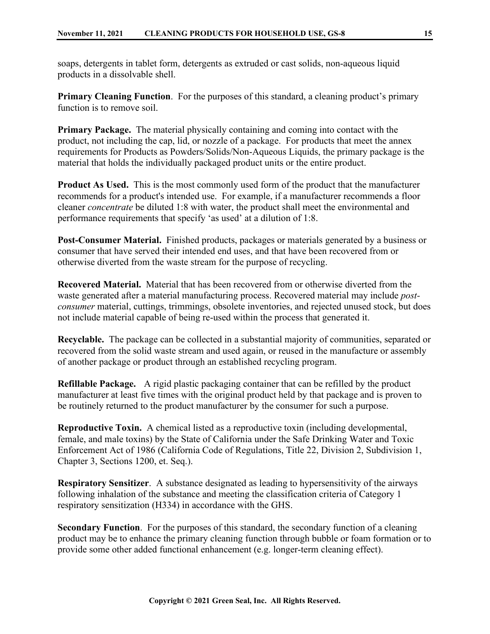soaps, detergents in tablet form, detergents as extruded or cast solids, non-aqueous liquid products in a dissolvable shell.

**Primary Cleaning Function.** For the purposes of this standard, a cleaning product's primary function is to remove soil.

**Primary Package.** The material physically containing and coming into contact with the product, not including the cap, lid, or nozzle of a package. For products that meet the annex requirements for Products as Powders/Solids/Non-Aqueous Liquids, the primary package is the material that holds the individually packaged product units or the entire product.

**Product As Used.** This is the most commonly used form of the product that the manufacturer recommends for a product's intended use. For example, if a manufacturer recommends a floor cleaner *concentrate* be diluted 1:8 with water, the product shall meet the environmental and performance requirements that specify 'as used' at a dilution of 1:8.

**Post-Consumer Material.** Finished products, packages or materials generated by a business or consumer that have served their intended end uses, and that have been recovered from or otherwise diverted from the waste stream for the purpose of recycling.

**Recovered Material.** Material that has been recovered from or otherwise diverted from the waste generated after a material manufacturing process. Recovered material may include *postconsumer* material, cuttings, trimmings, obsolete inventories, and rejected unused stock, but does not include material capable of being re-used within the process that generated it.

**Recyclable.** The package can be collected in a substantial majority of communities, separated or recovered from the solid waste stream and used again, or reused in the manufacture or assembly of another package or product through an established recycling program.

**Refillable Package.** A rigid plastic packaging container that can be refilled by the product manufacturer at least five times with the original product held by that package and is proven to be routinely returned to the product manufacturer by the consumer for such a purpose.

**Reproductive Toxin.** A chemical listed as a reproductive toxin (including developmental, female, and male toxins) by the State of California under the Safe Drinking Water and Toxic Enforcement Act of 1986 (California Code of Regulations, Title 22, Division 2, Subdivision 1, Chapter 3, Sections 1200, et. Seq.).

**Respiratory Sensitizer**. A substance designated as leading to hypersensitivity of the airways following inhalation of the substance and meeting the classification criteria of Category 1 respiratory sensitization (H334) in accordance with the GHS.

**Secondary Function**. For the purposes of this standard, the secondary function of a cleaning product may be to enhance the primary cleaning function through bubble or foam formation or to provide some other added functional enhancement (e.g. longer-term cleaning effect).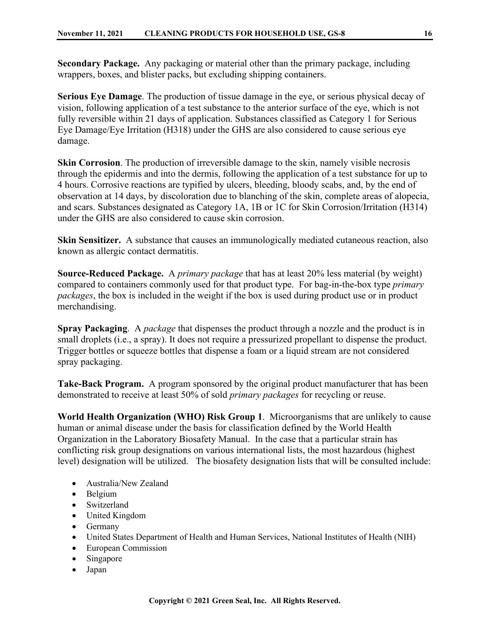**Secondary Package.** Any packaging or material other than the primary package, including wrappers, boxes, and blister packs, but excluding shipping containers.

**Serious Eye Damage**. The production of tissue damage in the eye, or serious physical decay of vision, following application of a test substance to the anterior surface of the eye, which is not fully reversible within 21 days of application. Substances classified as Category 1 for Serious Eye Damage/Eye Irritation (H318) under the GHS are also considered to cause serious eye damage.

**Skin Corrosion**. The production of irreversible damage to the skin, namely visible necrosis through the epidermis and into the dermis, following the application of a test substance for up to 4 hours. Corrosive reactions are typified by ulcers, bleeding, bloody scabs, and, by the end of observation at 14 days, by discoloration due to blanching of the skin, complete areas of alopecia, and scars. Substances designated as Category 1A, 1B or 1C for Skin Corrosion/Irritation (H314) under the GHS are also considered to cause skin corrosion.

**Skin Sensitizer.** A substance that causes an immunologically mediated cutaneous reaction, also known as allergic contact dermatitis.

**Source-Reduced Package.** A *primary package* that has at least 20% less material (by weight) compared to containers commonly used for that product type. For bag-in-the-box type *primary packages*, the box is included in the weight if the box is used during product use or in product merchandising.

**Spray Packaging**. A *package* that dispenses the product through a nozzle and the product is in small droplets (i.e., a spray). It does not require a pressurized propellant to dispense the product. Trigger bottles or squeeze bottles that dispense a foam or a liquid stream are not considered spray packaging.

**Take-Back Program.** A program sponsored by the original product manufacturer that has been demonstrated to receive at least 50% of sold *primary packages* for recycling or reuse.

**World Health Organization (WHO) Risk Group 1**. Microorganisms that are unlikely to cause human or animal disease under the basis for classification defined by the World Health Organization in the Laboratory Biosafety Manual. In the case that a particular strain has conflicting risk group designations on various international lists, the most hazardous (highest level) designation will be utilized. The biosafety designation lists that will be consulted include:

- Australia/New Zealand
- Belgium
- Switzerland
- United Kingdom
- Germany
- United States Department of Health and Human Services, National Institutes of Health (NIH)
- European Commission
- Singapore
- Japan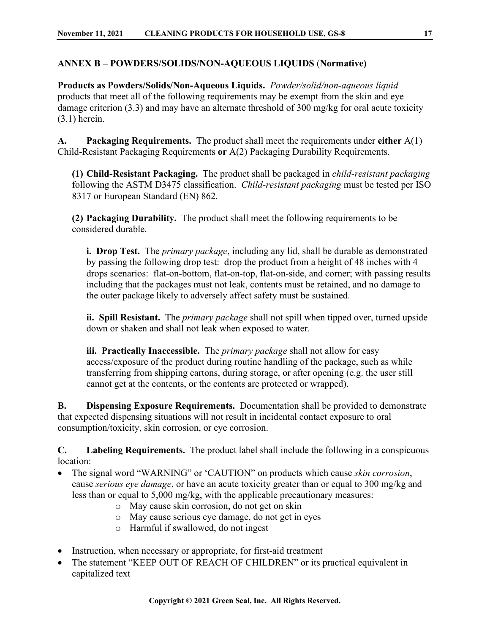#### <span id="page-16-0"></span>**ANNEX B – POWDERS/SOLIDS/NON-AQUEOUS LIQUIDS** (**Normative)**

**Products as Powders/Solids/Non-Aqueous Liquids.** *Powder/solid/non-aqueous liquid* products that meet all of the following requirements may be exempt from the skin and eye damage criterion (3.3) and may have an alternate threshold of 300 mg/kg for oral acute toxicity (3.1) herein.

**A. Packaging Requirements.** The product shall meet the requirements under **either** A(1) Child-Resistant Packaging Requirements **or** A(2) Packaging Durability Requirements.

**(1) Child-Resistant Packaging.** The product shall be packaged in *child-resistant packaging* following the ASTM D3475 classification. *Child-resistant packaging* must be tested per ISO 8317 or European Standard (EN) 862.

**(2) Packaging Durability.** The product shall meet the following requirements to be considered durable.

**i. Drop Test.** The *primary package*, including any lid, shall be durable as demonstrated by passing the following drop test: drop the product from a height of 48 inches with 4 drops scenarios: flat-on-bottom, flat-on-top, flat-on-side, and corner; with passing results including that the packages must not leak, contents must be retained, and no damage to the outer package likely to adversely affect safety must be sustained.

**ii. Spill Resistant.** The *primary package* shall not spill when tipped over, turned upside down or shaken and shall not leak when exposed to water.

**iii. Practically Inaccessible.** The *primary package* shall not allow for easy access/exposure of the product during routine handling of the package, such as while transferring from shipping cartons, during storage, or after opening (e.g. the user still cannot get at the contents, or the contents are protected or wrapped).

**B. Dispensing Exposure Requirements.** Documentation shall be provided to demonstrate that expected dispensing situations will not result in incidental contact exposure to oral consumption/toxicity, skin corrosion, or eye corrosion.

**C. Labeling Requirements.** The product label shall include the following in a conspicuous location:

- The signal word "WARNING" or 'CAUTION" on products which cause *skin corrosion*, cause *serious eye damage*, or have an acute toxicity greater than or equal to 300 mg/kg and less than or equal to 5,000 mg/kg, with the applicable precautionary measures:
	- o May cause skin corrosion, do not get on skin
	- o May cause serious eye damage, do not get in eyes
	- o Harmful if swallowed, do not ingest
- Instruction, when necessary or appropriate, for first-aid treatment
- The statement "KEEP OUT OF REACH OF CHILDREN" or its practical equivalent in capitalized text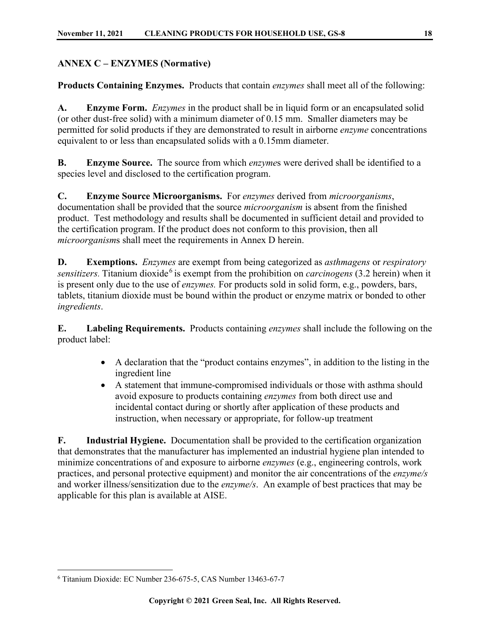#### <span id="page-17-0"></span>**ANNEX C – ENZYMES (Normative)**

**Products Containing Enzymes.** Products that contain *enzymes* shall meet all of the following:

**A. Enzyme Form.** *Enzymes* in the product shall be in liquid form or an encapsulated solid (or other dust-free solid) with a minimum diameter of 0.15 mm. Smaller diameters may be permitted for solid products if they are demonstrated to result in airborne *enzyme* concentrations equivalent to or less than encapsulated solids with a 0.15mm diameter.

**B. Enzyme Source.** The source from which *enzyme*s were derived shall be identified to a species level and disclosed to the certification program.

**C. Enzyme Source Microorganisms.** For *enzymes* derived from *microorganisms*, documentation shall be provided that the source *microorganism* is absent from the finished product. Test methodology and results shall be documented in sufficient detail and provided to the certification program. If the product does not conform to this provision, then all *microorganism*s shall meet the requirements in Annex D herein.

**D. Exemptions.** *Enzymes* are exempt from being categorized as *asthmagens* or *respiratory sensitizers*. Titanium dioxide<sup>[6](#page-17-1)</sup> is exempt from the prohibition on *carcinogens* (3.2 herein) when it is present only due to the use of *enzymes.* For products sold in solid form, e.g., powders, bars, tablets, titanium dioxide must be bound within the product or enzyme matrix or bonded to other *ingredients*.

**E. Labeling Requirements.** Products containing *enzymes* shall include the following on the product label:

- A declaration that the "product contains enzymes", in addition to the listing in the ingredient line
- A statement that immune-compromised individuals or those with asthma should avoid exposure to products containing *enzymes* from both direct use and incidental contact during or shortly after application of these products and instruction, when necessary or appropriate, for follow-up treatment

**F. Industrial Hygiene.** Documentation shall be provided to the certification organization that demonstrates that the manufacturer has implemented an industrial hygiene plan intended to minimize concentrations of and exposure to airborne *enzymes* (e.g., engineering controls, work practices, and personal protective equipment) and monitor the air concentrations of the *enzyme/s* and worker illness/sensitization due to the *enzyme/s*. An example of best practices that may be applicable for this plan is available at AISE.

<span id="page-17-1"></span><sup>6</sup> Titanium Dioxide: EC Number 236-675-5, CAS Number 13463-67-7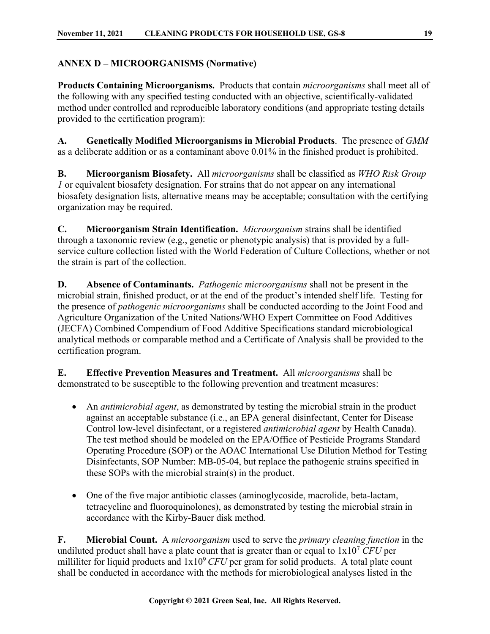#### <span id="page-18-0"></span>**ANNEX D – MICROORGANISMS (Normative)**

**Products Containing Microorganisms.** Products that contain *microorganisms* shall meet all of the following with any specified testing conducted with an objective, scientifically-validated method under controlled and reproducible laboratory conditions (and appropriate testing details provided to the certification program):

**A. Genetically Modified Microorganisms in Microbial Products**. The presence of *GMM* as a deliberate addition or as a contaminant above 0.01% in the finished product is prohibited.

**B. Microorganism Biosafety.** All *microorganisms* shall be classified as *WHO Risk Group 1* or equivalent biosafety designation. For strains that do not appear on any international biosafety designation lists, alternative means may be acceptable; consultation with the certifying organization may be required.

**C. Microorganism Strain Identification.** *Microorganism* strains shall be identified through a taxonomic review (e.g., genetic or phenotypic analysis) that is provided by a fullservice culture collection listed with the World Federation of Culture Collections, whether or not the strain is part of the collection.

**D. Absence of Contaminants.** *Pathogenic microorganisms* shall not be present in the microbial strain, finished product, or at the end of the product's intended shelf life. Testing for the presence of *pathogenic microorganisms* shall be conducted according to the Joint Food and Agriculture Organization of the United Nations/WHO Expert Committee on Food Additives (JECFA) Combined Compendium of Food Additive Specifications standard microbiological analytical methods or comparable method and a Certificate of Analysis shall be provided to the certification program.

**E. Effective Prevention Measures and Treatment.** All *microorganisms* shall be demonstrated to be susceptible to the following prevention and treatment measures:

- An *antimicrobial agent*, as demonstrated by testing the microbial strain in the product against an acceptable substance (i.e., an EPA general disinfectant, Center for Disease Control low-level disinfectant, or a registered *antimicrobial agent* by Health Canada). The test method should be modeled on the EPA/Office of Pesticide Programs Standard Operating Procedure (SOP) or the AOAC International Use Dilution Method for Testing Disinfectants, SOP Number: MB-05-04, but replace the pathogenic strains specified in these SOPs with the microbial strain(s) in the product.
- One of the five major antibiotic classes (aminoglycoside, macrolide, beta-lactam, tetracycline and fluoroquinolones), as demonstrated by testing the microbial strain in accordance with the Kirby-Bauer disk method.

**F. Microbial Count.** A *microorganism* used to serve the *primary cleaning function* in the undiluted product shall have a plate count that is greater than or equal to  $1x10<sup>7</sup>$  *CFU* per milliliter for liquid products and  $1x10^9$  CFU per gram for solid products. A total plate count shall be conducted in accordance with the methods for microbiological analyses listed in the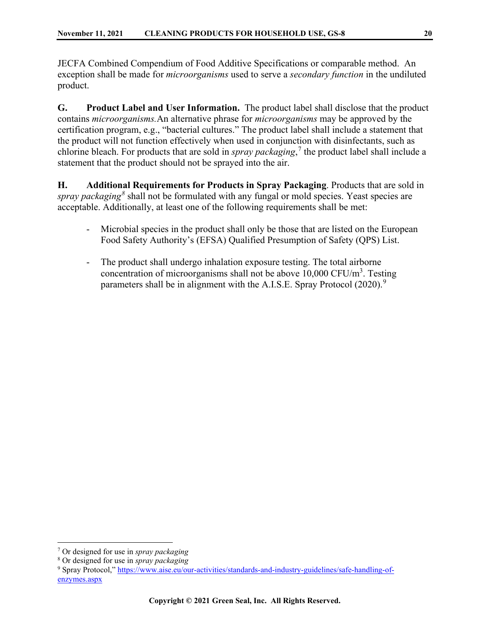JECFA Combined Compendium of Food Additive Specifications or comparable method. An exception shall be made for *microorganisms* used to serve a *secondary function* in the undiluted product.

**G. Product Label and User Information.** The product label shall disclose that the product contains *microorganisms.*An alternative phrase for *microorganisms* may be approved by the certification program, e.g., "bacterial cultures." The product label shall include a statement that the product will not function effectively when used in conjunction with disinfectants, such as chlorine bleach. For products that are sold in *spray packaging*, [7](#page-19-0) the product label shall include a statement that the product should not be sprayed into the air.

**H. Additional Requirements for Products in Spray Packaging**. Products that are sold in *spray packaging[8](#page-19-1)* shall not be formulated with any fungal or mold species. Yeast species are acceptable. Additionally, at least one of the following requirements shall be met:

- Microbial species in the product shall only be those that are listed on the European Food Safety Authority's (EFSA) Qualified Presumption of Safety (QPS) List.
- The product shall undergo inhalation exposure testing. The total airborne concentration of microorganisms shall not be above  $10,000 \text{ CFU/m}^3$ . Testing parameters shall be in alignment with the A.I.S.E. Spray Protocol  $(2020)$ .<sup>[9](#page-19-2)</sup>

<span id="page-19-0"></span><sup>7</sup> Or designed for use in *spray packaging*

<span id="page-19-1"></span><sup>8</sup> Or designed for use in *spray packaging*

<span id="page-19-2"></span><sup>9</sup> Spray Protocol," [https://www.aise.eu/our-activities/standards-and-industry-guidelines/safe-handling-of](https://www.aise.eu/our-activities/standards-and-industry-guidelines/safe-handling-of-enzymes.aspx)[enzymes.aspx](https://www.aise.eu/our-activities/standards-and-industry-guidelines/safe-handling-of-enzymes.aspx)